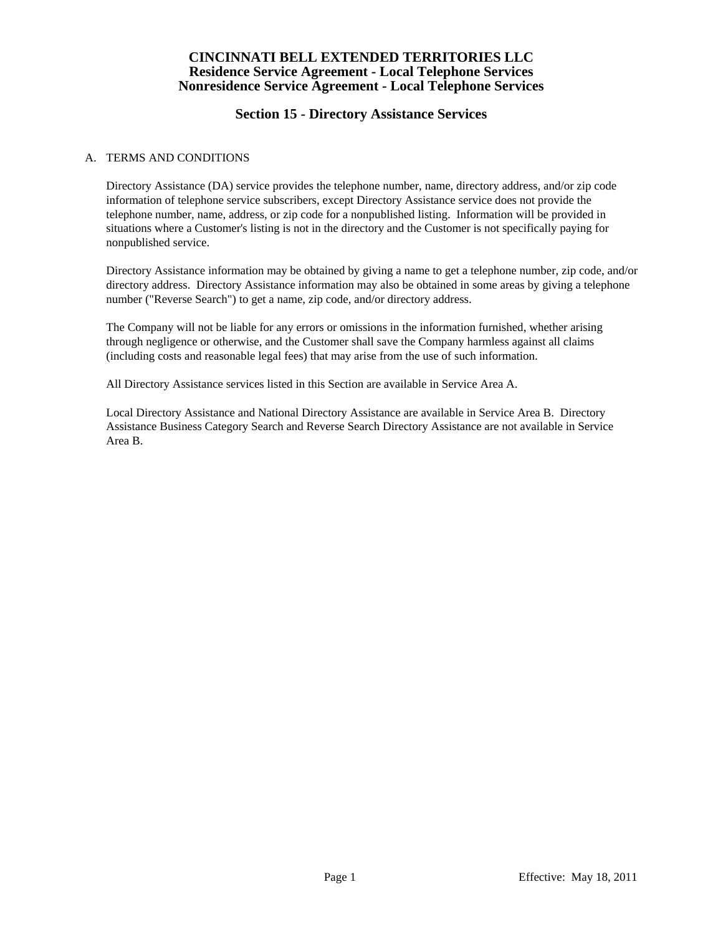# **Section 15 - Directory Assistance Services**

#### A. TERMS AND CONDITIONS

 Directory Assistance (DA) service provides the telephone number, name, directory address, and/or zip code information of telephone service subscribers, except Directory Assistance service does not provide the telephone number, name, address, or zip code for a nonpublished listing. Information will be provided in situations where a Customer's listing is not in the directory and the Customer is not specifically paying for nonpublished service.

 Directory Assistance information may be obtained by giving a name to get a telephone number, zip code, and/or directory address. Directory Assistance information may also be obtained in some areas by giving a telephone number ("Reverse Search") to get a name, zip code, and/or directory address.

 The Company will not be liable for any errors or omissions in the information furnished, whether arising through negligence or otherwise, and the Customer shall save the Company harmless against all claims (including costs and reasonable legal fees) that may arise from the use of such information.

All Directory Assistance services listed in this Section are available in Service Area A.

 Local Directory Assistance and National Directory Assistance are available in Service Area B. Directory Assistance Business Category Search and Reverse Search Directory Assistance are not available in Service Area B.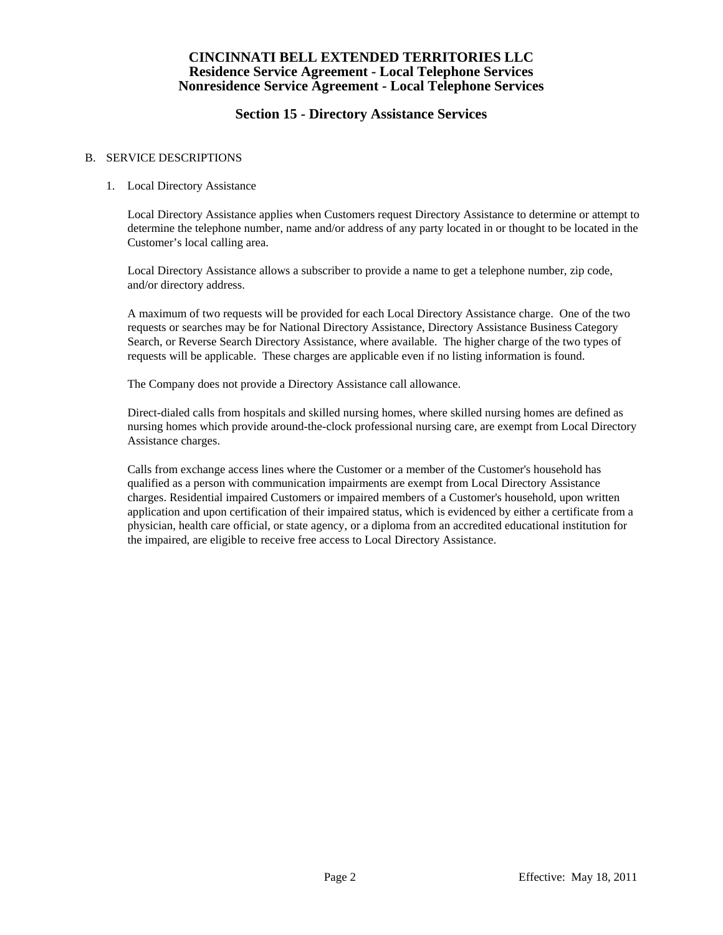# **Section 15 - Directory Assistance Services**

#### B. SERVICE DESCRIPTIONS

#### 1. Local Directory Assistance

 Local Directory Assistance applies when Customers request Directory Assistance to determine or attempt to determine the telephone number, name and/or address of any party located in or thought to be located in the Customer's local calling area.

 Local Directory Assistance allows a subscriber to provide a name to get a telephone number, zip code, and/or directory address.

 A maximum of two requests will be provided for each Local Directory Assistance charge. One of the two requests or searches may be for National Directory Assistance, Directory Assistance Business Category Search, or Reverse Search Directory Assistance, where available. The higher charge of the two types of requests will be applicable. These charges are applicable even if no listing information is found.

The Company does not provide a Directory Assistance call allowance.

 Direct-dialed calls from hospitals and skilled nursing homes, where skilled nursing homes are defined as nursing homes which provide around-the-clock professional nursing care, are exempt from Local Directory Assistance charges.

 Calls from exchange access lines where the Customer or a member of the Customer's household has qualified as a person with communication impairments are exempt from Local Directory Assistance charges. Residential impaired Customers or impaired members of a Customer's household, upon written application and upon certification of their impaired status, which is evidenced by either a certificate from a physician, health care official, or state agency, or a diploma from an accredited educational institution for the impaired, are eligible to receive free access to Local Directory Assistance.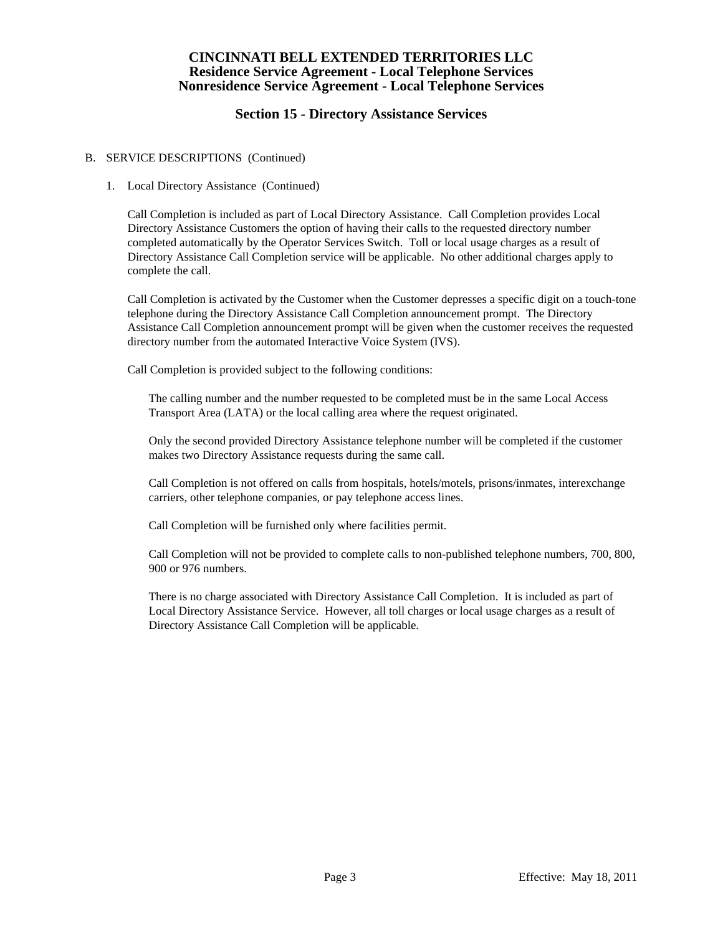# **Section 15 - Directory Assistance Services**

#### B. SERVICE DESCRIPTIONS (Continued)

### 1. Local Directory Assistance (Continued)

 Call Completion is included as part of Local Directory Assistance. Call Completion provides Local Directory Assistance Customers the option of having their calls to the requested directory number completed automatically by the Operator Services Switch. Toll or local usage charges as a result of Directory Assistance Call Completion service will be applicable. No other additional charges apply to complete the call.

 Call Completion is activated by the Customer when the Customer depresses a specific digit on a touch-tone telephone during the Directory Assistance Call Completion announcement prompt. The Directory Assistance Call Completion announcement prompt will be given when the customer receives the requested directory number from the automated Interactive Voice System (IVS).

Call Completion is provided subject to the following conditions:

 The calling number and the number requested to be completed must be in the same Local Access Transport Area (LATA) or the local calling area where the request originated.

 Only the second provided Directory Assistance telephone number will be completed if the customer makes two Directory Assistance requests during the same call.

 Call Completion is not offered on calls from hospitals, hotels/motels, prisons/inmates, interexchange carriers, other telephone companies, or pay telephone access lines.

Call Completion will be furnished only where facilities permit.

 Call Completion will not be provided to complete calls to non-published telephone numbers, 700, 800, 900 or 976 numbers.

 There is no charge associated with Directory Assistance Call Completion. It is included as part of Local Directory Assistance Service. However, all toll charges or local usage charges as a result of Directory Assistance Call Completion will be applicable.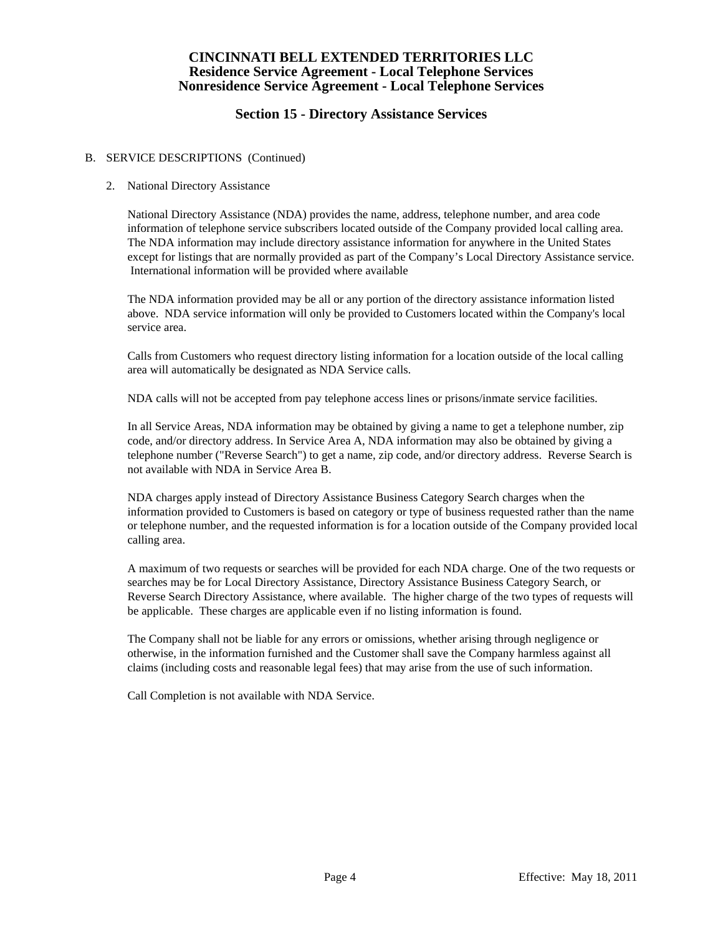# **Section 15 - Directory Assistance Services**

#### B. SERVICE DESCRIPTIONS (Continued)

#### 2. National Directory Assistance

 National Directory Assistance (NDA) provides the name, address, telephone number, and area code information of telephone service subscribers located outside of the Company provided local calling area. The NDA information may include directory assistance information for anywhere in the United States except for listings that are normally provided as part of the Company's Local Directory Assistance service. International information will be provided where available

 The NDA information provided may be all or any portion of the directory assistance information listed above. NDA service information will only be provided to Customers located within the Company's local service area.

 Calls from Customers who request directory listing information for a location outside of the local calling area will automatically be designated as NDA Service calls.

NDA calls will not be accepted from pay telephone access lines or prisons/inmate service facilities.

 In all Service Areas, NDA information may be obtained by giving a name to get a telephone number, zip code, and/or directory address. In Service Area A, NDA information may also be obtained by giving a telephone number ("Reverse Search") to get a name, zip code, and/or directory address. Reverse Search is not available with NDA in Service Area B.

 NDA charges apply instead of Directory Assistance Business Category Search charges when the information provided to Customers is based on category or type of business requested rather than the name or telephone number, and the requested information is for a location outside of the Company provided local calling area.

 A maximum of two requests or searches will be provided for each NDA charge. One of the two requests or searches may be for Local Directory Assistance, Directory Assistance Business Category Search, or Reverse Search Directory Assistance, where available. The higher charge of the two types of requests will be applicable. These charges are applicable even if no listing information is found.

 The Company shall not be liable for any errors or omissions, whether arising through negligence or otherwise, in the information furnished and the Customer shall save the Company harmless against all claims (including costs and reasonable legal fees) that may arise from the use of such information.

Call Completion is not available with NDA Service.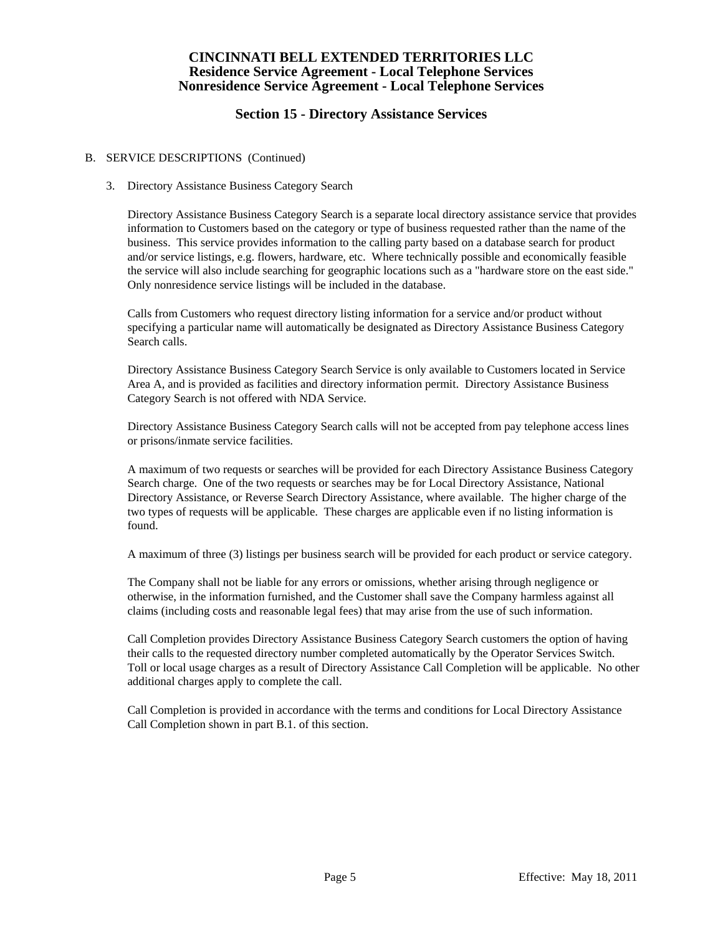# **Section 15 - Directory Assistance Services**

#### B. SERVICE DESCRIPTIONS (Continued)

#### 3. Directory Assistance Business Category Search

 Directory Assistance Business Category Search is a separate local directory assistance service that provides information to Customers based on the category or type of business requested rather than the name of the business. This service provides information to the calling party based on a database search for product and/or service listings, e.g. flowers, hardware, etc. Where technically possible and economically feasible the service will also include searching for geographic locations such as a "hardware store on the east side." Only nonresidence service listings will be included in the database.

 Calls from Customers who request directory listing information for a service and/or product without specifying a particular name will automatically be designated as Directory Assistance Business Category Search calls.

 Directory Assistance Business Category Search Service is only available to Customers located in Service Area A, and is provided as facilities and directory information permit. Directory Assistance Business Category Search is not offered with NDA Service.

 Directory Assistance Business Category Search calls will not be accepted from pay telephone access lines or prisons/inmate service facilities.

 A maximum of two requests or searches will be provided for each Directory Assistance Business Category Search charge. One of the two requests or searches may be for Local Directory Assistance, National Directory Assistance, or Reverse Search Directory Assistance, where available. The higher charge of the two types of requests will be applicable. These charges are applicable even if no listing information is found.

A maximum of three (3) listings per business search will be provided for each product or service category.

 The Company shall not be liable for any errors or omissions, whether arising through negligence or otherwise, in the information furnished, and the Customer shall save the Company harmless against all claims (including costs and reasonable legal fees) that may arise from the use of such information.

 Call Completion provides Directory Assistance Business Category Search customers the option of having their calls to the requested directory number completed automatically by the Operator Services Switch. Toll or local usage charges as a result of Directory Assistance Call Completion will be applicable. No other additional charges apply to complete the call.

 Call Completion is provided in accordance with the terms and conditions for Local Directory Assistance Call Completion shown in part B.1. of this section.